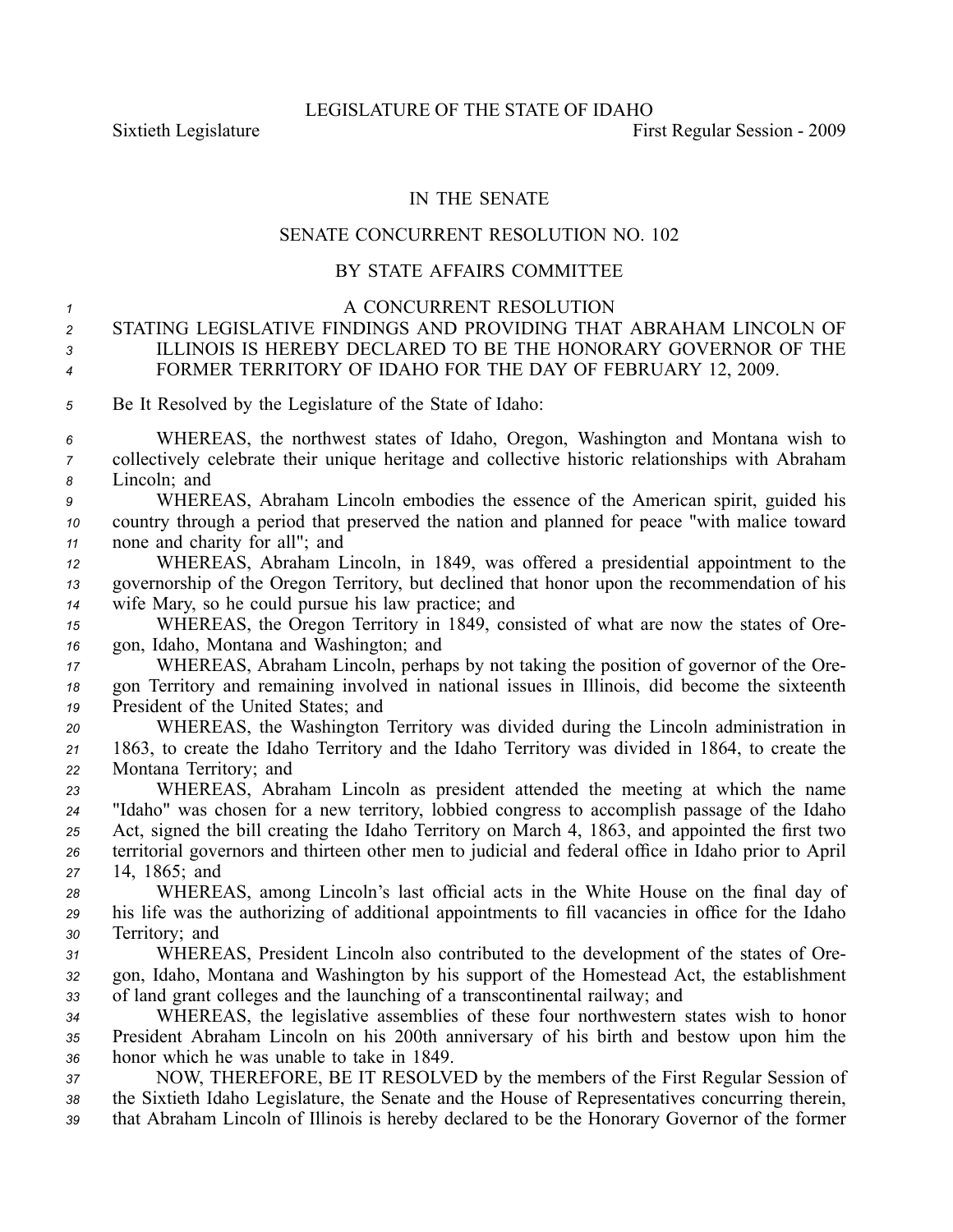## IN THE SENATE

## SENATE CONCURRENT RESOLUTION NO. 102

## BY STATE AFFAIRS COMMITTEE

 A CONCURRENT RESOLUTION STATING LEGISLATIVE FINDINGS AND PROVIDING THAT ABRAHAM LINCOLN OF ILLINOIS IS HEREBY DECLARED TO BE THE HONORARY GOVERNOR OF THE FORMER TERRITORY OF IDAHO FOR THE DAY OF FEBRUARY 12, 2009. Be It Resolved by the Legislature of the State of Idaho: WHEREAS, the northwest states of Idaho, Oregon, Washington and Montana wish to collectively celebrate their unique heritage and collective historic relationships with Abraham Lincoln; and WHEREAS, Abraham Lincoln embodies the essence of the American spirit, guided his country through <sup>a</sup> period that preserved the nation and planned for peace "with malice toward none and charity for all"; and WHEREAS, Abraham Lincoln, in 1849, was offered <sup>a</sup> presidential appointment to the governorship of the Oregon Territory, but declined that honor upon the recommendation of his wife Mary, so he could pursue his law practice; and WHEREAS, the Oregon Territory in 1849, consisted of what are now the states of Ore- gon, Idaho, Montana and Washington; and WHEREAS, Abraham Lincoln, perhaps by not taking the position of governor of the Ore- gon Territory and remaining involved in national issues in Illinois, did become the sixteenth President of the United States; and WHEREAS, the Washington Territory was divided during the Lincoln administration in 1863, to create the Idaho Territory and the Idaho Territory was divided in 1864, to create the Montana Territory; and WHEREAS, Abraham Lincoln as president attended the meeting at which the name "Idaho" was chosen for <sup>a</sup> new territory, lobbied congress to accomplish passage of the Idaho Act, signed the bill creating the Idaho Territory on March 4, 1863, and appointed the first two territorial governors and thirteen other men to judicial and federal office in Idaho prior to April 14, 1865; and WHEREAS, among Lincoln's last official acts in the White House on the final day of his life was the authorizing of additional appointments to fill vacancies in office for the Idaho Territory; and WHEREAS, President Lincoln also contributed to the development of the states of Ore- gon, Idaho, Montana and Washington by his suppor<sup>t</sup> of the Homestead Act, the establishment of land gran<sup>t</sup> colleges and the launching of <sup>a</sup> transcontinental railway; and WHEREAS, the legislative assemblies of these four northwestern states wish to honor President Abraham Lincoln on his 200th anniversary of his birth and bestow upon him the honor which he was unable to take in 1849. NOW, THEREFORE, BE IT RESOLVED by the members of the First Regular Session of the Sixtieth Idaho Legislature, the Senate and the House of Representatives concurring therein,

*<sup>39</sup>* that Abraham Lincoln of Illinois is hereby declared to be the Honorary Governor of the former